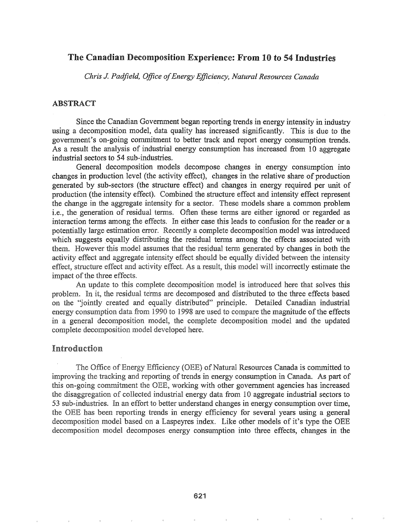## The Canadian Decomposition Experience: From 10 to 54 Industries

Chris J. Padfield, Office of Energy Efficiency, Natural Resources Canada

## **ABSTRACT**

Since the Canadian Government began reporting trends in energy intensity in industry using a decomposition model, data quality has increased significantly. This is due to the government's on-going commitment to better track and report energy consumption trends. As a result the analysis of industrial energy consumption has increased from 10 aggregate industrial sectors to 54 sub-industries.

General decomposition models decompose changes in energy consumption into changes in production level (the activity effect), changes in the relative share of production generated by sub-sectors (the structure effect) and changes in energy required per unit of production (the intensity effect). Combined the structure effect and intensity effect represent the change in the aggregate intensity for a sector. These models share a common problem i.e., the generation of residual terms. Often these terms are either ignored or regarded as interaction terms among the effects. In either case this leads to confusion for the reader or a potentially large estimation error. Recently a complete decomposition model was introduced which suggests equally distributing the residual terms among the effects associated with them. However this model assumes that the residual term generated by changes in both the activity effect and aggregate intensity effect should be equally divided between the intensity effect, structure effect and activity effect. As a result, this model will incorrectly estimate the impact of the three effects.

An update to this complete decomposition model is introduced here that solves this problem. In it, the residual terms are decomposed and distributed to the three effects based on the "jointly created and equally distributed" principle. Detailed Canadian industrial energy consumption data from 1990 to 1998 are used to compare the magnitude of the effects in a general decomposition model, the complete decomposition model and the updated complete decomposition model developed here.

## Introduction

The Office of Energy Efficiency (OEE) of Natural Resources Canada is committed to improving the tracking and reporting of trends in energy consumption in Canada. As part of this on-going commitment the OEE, working with other government agencies has increased the disaggregation of collected industrial energy data from 10 aggregate industrial sectors to 53 sub-industries. In an effort to better understand changes in energy consumption over time, the OEE has been reporting trends in energy efficiency for several years using a general decomposition model based on a Laspeyres index. Like other models of it's type the OEE decomposition model decomposes energy consumption into three effects, changes in the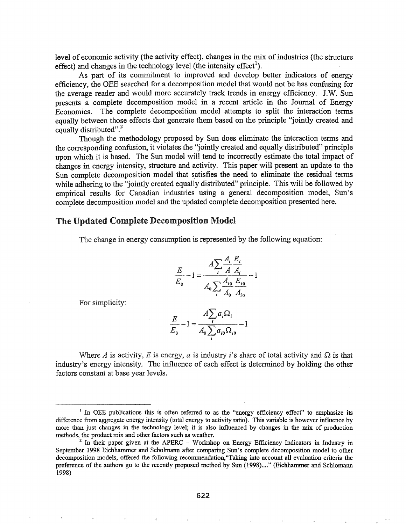level of economic activity (the activity effect), changes in the mix of industries (the structure effect) and changes in the technology level (the intensity effect<sup>1</sup>). ). The contract of  $\mathcal{L}$  is the contract of  $\mathcal{L}$ 

As part of its commitment to improved and develop better indicators of energy efficiency, the OEE searched for a decomposition model that would not be has confusing for the average reader and would more accurately track trends in energy efficiency. J.W. Sun presents a complete decomposition model in a recent article in the Journal of Energy Economics. The complete decomposition model attempts to split the interaction terms equally between those effects that generate them based on the principle "jointly created and equally distributed".<sup>2</sup>

Though the methodology proposed by Sun does eliminate the interaction terms and the corresponding confusion, it violates the ''jointly created and equally distributed" principle upon which it is based. The Sun model will tend to incorrectly estimate the total impact of changes in energy intensity, structure and activity. This paper will present an update to the Sun complete decomposition model that satisfies the need to eliminate the residual terms while adhering to the "jointly created equally distributed" principle. This will be followed by empirical results for Canadian industries using a general decomposition model, Sun's complete decomposition model and the updated complete decomposition presented here.

#### The Updated Complete Decomposition Model

The change in energy consumption is represented by the following equation:

$$
\frac{E}{E_o} - 1 = \frac{A \sum_{i} \frac{A_i}{A} \frac{E_i}{A_i}}{A_o \sum_{i} \frac{A_{io}}{A_o} \frac{E_{io}}{A_{io}}} - 1
$$

For simplicity:

$$
\frac{E}{E_0} - 1 = \frac{A \sum_i a_i \Omega_i}{A_0 \sum_i a_{i0} \Omega_{i0}} - 1
$$

Where A is activity, E is energy, a is industry i's share of total activity and  $\Omega$  is that industry's energy intensity. The influence of each effect is determined by holding the other factors constant at base year levels..

<sup>&</sup>lt;sup>1</sup> In OEE publications this is often referred to as the "energy efficiency effect" to emphasize its difference from aggregate energy intensity (total energy to activity ratio). This variable is however influence by more than just changes in the technology level; it is also influenced by changes in the mix of production methods, the product mix and other factors such as weather.

 $2\text{ In their paper given at the APERC - Workshop on Energy Efficiency Indicators in Industry in}$ September 1998 Eichhammer and Scholmann after comparing Sun's complete decomposition model to other decomposition models, offered the following recommendation,"Taking into account all evaluation criteria the preference of the authors go to the recently proposed method by Sun (1998)...." (Eichhammer and Schlomann 1998)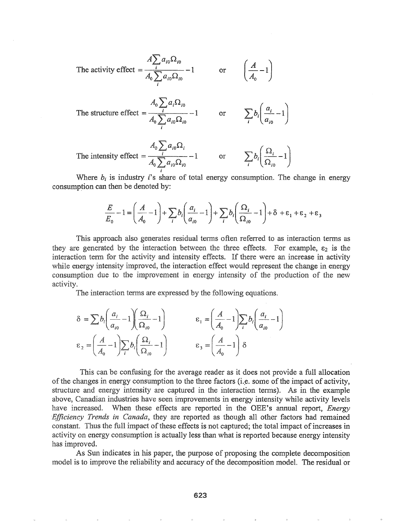The activity effect 
$$
=
$$
  $\frac{A \sum a_{i0} \Omega_{i0}}{A_0 \sum a_{i0} \Omega_{i0}} - 1$  or  $\left(\frac{A}{A_0} - 1\right)$ 

The structure effect 
$$
=
$$
 
$$
\frac{A_0 \sum_i a_i \Omega_{i0}}{A_0 \sum_i a_{i0} \Omega_{i0}} - 1
$$
 or 
$$
\sum_i b_i \left( \frac{a_i}{a_{i0}} - 1 \right)
$$

The intensity effect 
$$
=
$$
  $\frac{A_0 \sum_i a_{i0} \Omega_i}{A_0 \sum_i a_{i0} \Omega_{i0}} - 1$  or  $\sum_i b_i \left( \frac{\Omega_i}{\Omega_{i0}} - 1 \right)$ 

Where  $b_i$  is industry *i*'s share of total energy consumption. The change in energy consumption can then be denoted by:

$$
\frac{E}{E_0} - 1 = \left(\frac{A}{A_0} - 1\right) + \sum_i b_i \left(\frac{a_i}{a_{i0}} - 1\right) + \sum_i b_i \left(\frac{\Omega_i}{\Omega_{i0}} - 1\right) + \delta + \varepsilon_1 + \varepsilon_2 + \varepsilon_3
$$

This approach also generates residual terms often referred to as interaction terms as they are generated by the interaction between the three effects. For example,  $\varepsilon_2$  is the interaction term for the activity and intensity effects. If there were an increase in activity while energy intensity improved, the interaction effect would represent the change in energy consumption due to the improvement in energy intensity of the production of the new activity.

The interaction terms are expressed by the following equations.

$$
\delta = \sum b_i \left( \frac{a_i}{a_{i0}} - 1 \right) \left( \frac{\Omega_i}{\Omega_{i0}} - 1 \right) \qquad \epsilon_1 = \left( \frac{A}{A_0} - 1 \right) \sum_i b_i \left( \frac{a_i}{a_{i0}} - 1 \right)
$$

$$
\epsilon_2 = \left( \frac{A}{A_0} - 1 \right) \sum_i b_i \left( \frac{\Omega_i}{\Omega_{i0}} - 1 \right) \qquad \epsilon_3 = \left( \frac{A}{A_0} - 1 \right) \delta
$$

This can be confusing for the average reader as it does not provide a full allocation of the changes in energy consumption to the three factors (i.e. some of the impact of activity, structure and energy intensity are captured in the interaction terms). As in the example above, Canadian industries have seen improvements in energy intensity while activity levels have increased. When these effects are reported in the OEE's annual report, *Energy 'Efficiency Trends in* Canada, they are reported as though all other factors had remained constant. Thus the full impact of these effects is not captured; the total impact of increases in activity on energy consumption is actually less than what is reported because energy intensity has improved.

As Sun indicates in his paper, the purpose of proposing the complete decomposition model is to improve the reliability and accuracy of the decomposition model. The residual or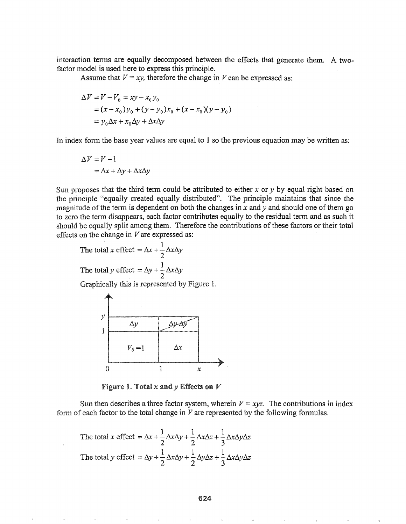interaction terms are equally decomposed between the effects that generate them. A twofactor model is used here to express this principle.

Assume that  $V = xy$ , therefore the change in *V* can be expressed as:

$$
\Delta V = V - V_0 = xy - x_0 y_0
$$
  
=  $(x - x_0)y_0 + (y - y_0)x_0 + (x - x_0)(y - y_0)$   
=  $y_0 \Delta x + x_0 \Delta y + \Delta x \Delta y$ 

In index form the base year values are equal to 1 so the previous equation may be written as:

$$
\Delta V = V - 1
$$
  
=  $\Delta x + \Delta y + \Delta x \Delta y$ 

Sun proposes that the third term could be attributed to either x or y by equal right based on the principle "equally created equally distributed". The principle maintains that since the magnitude of the term is dependent on both the changes in  $x$  and  $y$  and should one of them go to zero the term disappears, each factor contributes equally to the residual term and as such it should be equally split among them. Therefore the contributions of these factors or their total effects on the change in  $V$  are expressed as:

<sup>1</sup> total <sup>x</sup> effect =/)J, +- L\x/).y 2 . 1 The total <sup>y</sup> effect <sup>=</sup>L\y + - L\xAy . 2 Graphically this is represented by Figure 1e y4------~---~ *L\*y ~}l-.l\)r--··-- <sup>1</sup> I---\_ \_\_-t=s':.':.:-::o·::: ooe \_ *Va*

Figure 1. Total  $x$  and  $y$  Effects on  $V$ 

o 1 *x*

Sun then describes a three factor system, wherein  $V = xyz$ . The contributions in index each factor to the total change in *V* are represented by the following formulas.

Figure 1. Total x and y Effects on V  
\nSun then describes a three factor system, wherein 
$$
V =
$$
  
\nf each factor to the total change in V are represented by  
\nThe total x effect =  $\Delta x + \frac{1}{2} \Delta x \Delta y + \frac{1}{2} \Delta x \Delta z + \frac{1}{3} \Delta x \Delta y \Delta z$   
\nThe total y effect =  $\Delta y + \frac{1}{2} \Delta x \Delta y + \frac{1}{2} \Delta y \Delta z + \frac{1}{3} \Delta x \Delta y \Delta z$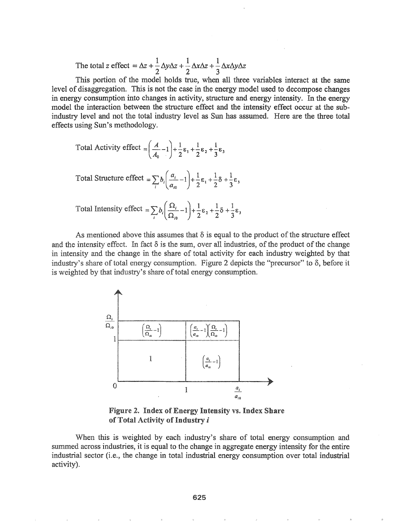The total z effect =  $\Delta z + \frac{1}{2}\Delta y \Delta z + \frac{1}{2}\Delta x \Delta z + \frac{1}{3}\Delta x \Delta y \Delta z$ 

This portion of the model holds true, when all three variables interact at the same level of disaggregation. This is not the case in the energy model used to decompose changes in energy consumption into changes in activity, structure and energy intensity. In the energy model the interaction between the structure effect and the intensity effect occur at the subindustry level and not the total industry level as Sun has assumed. Here are the three total effects using Sun's methodology.

Total Activity effect 
$$
=
$$
  $\left(\frac{A}{A_0}-1\right)+\frac{1}{2}\epsilon_1+\frac{1}{2}\epsilon_2+\frac{1}{3}\epsilon_3$ 

Total Structure effect =  $\sum_{i} b_i \left( \frac{a_i}{a_{i0}} - 1 \right) + \frac{1}{2} \varepsilon_1 + \frac{1}{2} \delta + \frac{1}{3} \varepsilon_3$ 

Total Intensity effect =  $\sum_{i} b_i \left( \frac{\Omega_i}{\Omega_{i0}} - 1 \right) + \frac{1}{2} \varepsilon_2 + \frac{1}{2} \delta + \frac{1}{3} \varepsilon_3$ 

As mentioned above this assumes that  $\delta$  is equal to the product of the structure effect and the intensity effect. In fact  $\delta$  is the sum, over all industries, of the product of the change in intensity and the change in the share of total activity for each industry weighted by that industry's share of total energy consumption. Figure 2 depicts the "precursor" to  $\delta$ , before it is weighted by that industry's share of total energy consumption.



Figure 2. Index of Energy Intensity vs. Index Share of Total Activity of Industry i

When this is weighted by each industry's share of total energy consumption and summed across industries, it is equal to the change in aggregate energy intensity for the entire industrial sector (i.e., the change in total industrial energy consumption over total industrial activity).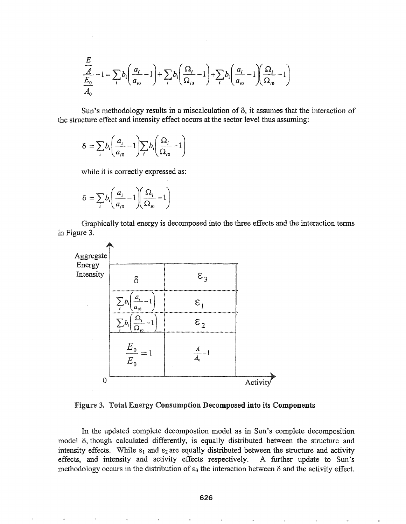$$
\frac{E}{\frac{A}{A_0}} - 1 = \sum_{i} b_i \left( \frac{a_i}{a_{i0}} - 1 \right) + \sum_{i} b_i \left( \frac{\Omega_i}{\Omega_{i0}} - 1 \right) + \sum_{i} b_i \left( \frac{a_i}{a_{i0}} - 1 \right) \left( \frac{\Omega_i}{\Omega_{i0}} - 1 \right)
$$

Sun's methodology results in a miscalculation of  $\delta$ , it assumes that the interaction of the structure effect and intensity effect occurs at the sector level thus assuming:

$$
\delta = \sum_{i} b_i \left( \frac{a_i}{a_{i0}} - 1 \right) \sum_{i} b_i \left( \frac{\Omega_i}{\Omega_{i0}} - 1 \right)
$$

while it is correctly expressed as:

$$
\delta = \sum_{i} b_i \left( \frac{a_i}{a_{i0}} - 1 \right) \left( \frac{\Omega_i}{\Omega_{i0}} - 1 \right)
$$

Graphically total energy is decomposed into the three effects and the interaction terms in Figure 3.



Figure 3. Total Energy Consumption Decomposed into its Components

In the updated complete decompostion model as in Sun's complete decomposition model δ, though calculated differently, is equally distributed between the structure and intensity effects. While  $\varepsilon_1$  and  $\varepsilon_2$  are equally distributed between the structure and activity effects, and intensity and activity effects respectively. A further update to Sun's methodology occurs in the distribution of  $\varepsilon_3$  the interaction between  $\delta$  and the activity effect.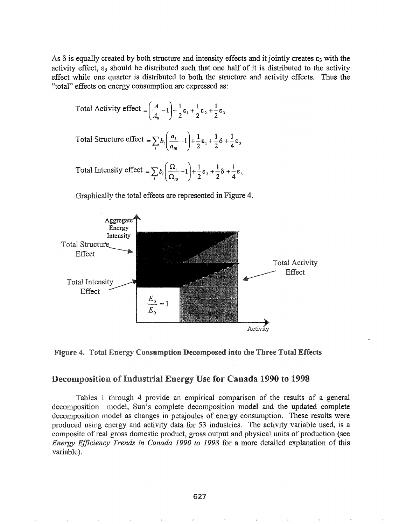As  $\delta$  is equally created by both structure and intensity effects and it jointly creates  $\epsilon_3$  with the activity effect,  $\varepsilon_3$  should be distributed such that one half of it is distributed to the activity effect while one quarter is distributed to both the structure and activity effects. Thus the "total" effects on energy consumption are expressed as:

Total Activity effect 
$$
=
$$
  $\left( \frac{A}{A_0} - 1 \right) + \frac{1}{2} \varepsilon_1 + \frac{1}{2} \varepsilon_2 + \frac{1}{2} \varepsilon_3$ 

Total Structure effect =  $\sum_{i} b_i \left( \frac{a_i}{a_{i0}} - 1 \right) + \frac{1}{2} \varepsilon_1 + \frac{1}{2} \delta + \frac{1}{4} \varepsilon_3$ 

Total Intensity effect  $= \sum b_i \left( \frac{\Omega_i}{\Omega} - 1 \right) + \frac{1}{2} \varepsilon_2 + \frac{1}{2} \delta + \frac{1}{2} \varepsilon_1$  $\left(\frac{1}{\Omega_{10}}-1\right)^2 + \frac{1}{2}\epsilon_2 + \frac{1}{2}\epsilon_3 + \frac{1}{4}\epsilon_3$ 



Graphically the total effects are represented in Figure

Figure 4. Total Energy Consumption Decomposed into the Three Total Effects

# Decomposition of Industrial Energy Use for Canada 1990 to 1998

1 through 4 provide an empirical comparison of the results of a general decomposition model, Sun's complete decomposition model and the updated complete decomposition model as changes in petajoules of energy consumption. These results were produced using energy and activity data for 53 industries. The activity variable used, is a composite of real gross domestic product, gross output and physical units of production (see *Energy Efficiency Trends in Canada 1990 to* 1998 for a more detailed explanation of this variable).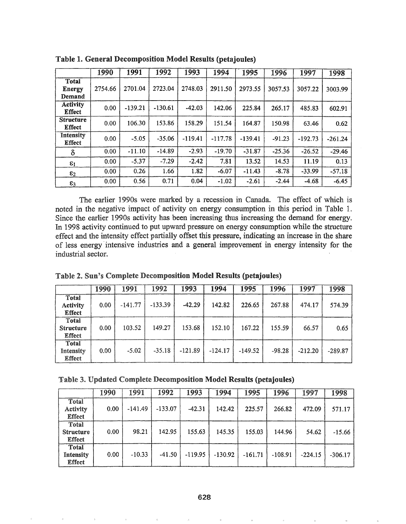|                                         | 1990    | 1991      | 1992      | 1993      | 1994      | 1995      | 1996     | 1997      | 1998      |
|-----------------------------------------|---------|-----------|-----------|-----------|-----------|-----------|----------|-----------|-----------|
| <b>Total</b><br><b>Energy</b><br>Demand | 2754.66 | 2701.04   | 2723.04   | 2748.03   | 2911.50   | 2973.55   | 3057.53  | 3057.22   | 3003.99   |
| <b>Activity</b><br><b>Effect</b>        | 0.00    | $-139.21$ | $-130.61$ | $-42.03$  | 142.06    | 225.84    | 265.17   | 485.83    | 602.91    |
| <b>Structure</b><br><b>Effect</b>       | 0.00    | 106.30    | 153.86    | 158.29    | 151.54    | 164.87    | 150.98   | 63.46     | 0.62      |
| Intensity<br><b>Effect</b>              | 0.00    | $-5.05$   | $-35.06$  | $-119.41$ | $-117.78$ | $-139.41$ | $-91.23$ | $-192.73$ | $-261.24$ |
| δ                                       | 0.00    | $-11.10$  | $-14.89$  | $-2.93$   | $-19.70$  | $-31.87$  | $-25.36$ | $-26.52$  | $-29.46$  |
| $\varepsilon_1$                         | 0.00    | $-5.37$   | $-7.29$   | $-2.42$   | 7.81      | 13.52     | 14.53    | 11.19     | 0.13      |
| $\varepsilon_2$                         | 0.00    | 0.26      | 1.66      | 1.82      | $-6.07$   | $-11.43$  | $-8.78$  | $-33.99$  | $-57.18$  |
| $\varepsilon_3$                         | 0.00    | 0.56      | 0.71      | 0.04      | $-1.02$   | $-2.61$   | $-2.44$  | $-4.68$   | $-6.45$   |

Table 1. General Decomposition Model Results (petajoules)

The earlier 19908 were marked by a recession in Canada. The effect of which is noted in the negative impact of activity on energy consumption this period in Table 1. Since the earlier 1990s activity has been increasing thus increasing the demand for energy. In 1998 activity continued to put upward pressure on energy consumption while the structure effect and the intensity effect partially offset this pressure, indicating an increase in the share of less energy intensive industries and a general improvement in energy intensity for the industrial sector.

| Table 2. Sun's Complete Decomposition Model Results (petajoules) |  |
|------------------------------------------------------------------|--|
|------------------------------------------------------------------|--|

|                                            | 1990 | 1991      | 1992      | 1993      | 1994      | 1995      | 1996     | 1997      | 1998      |
|--------------------------------------------|------|-----------|-----------|-----------|-----------|-----------|----------|-----------|-----------|
| Total<br><b>Activity</b><br><b>Effect</b>  | 0.00 | $-141.77$ | $-133.39$ | $-42.29$  | 142.82    | 226.65    | 267.88   | 474.17    | 574.39    |
| Total<br><b>Structure</b><br><b>Effect</b> | 0.00 | 103.52    | 149.27    | 153.68    | 152.10    | 167.22    | 155.59   | 66.57     | 0.65      |
| Total<br>Intensity<br><b>Effect</b>        | 0.00 | $-5.02$   | $-35.18$  | $-121.89$ | $-124.17$ | $-149.52$ | $-98.28$ | $-212.20$ | $-289.87$ |

|  | Table 3. Updated Complete Decomposition Model Results (petajoules) |  |
|--|--------------------------------------------------------------------|--|
|  |                                                                    |  |

|                                            | 1990 | 1991      | 1992      | 1993      | 1994      | 1995      | 1996      | 1997      | 1998      |
|--------------------------------------------|------|-----------|-----------|-----------|-----------|-----------|-----------|-----------|-----------|
| Total<br>Activity<br><b>Effect</b>         | 0.00 | $-141.49$ | $-133.07$ | $-42.31$  | 142.42    | 225.57    | 266.82    | 472.09    | 571.17    |
| Total<br><b>Structure</b><br><b>Effect</b> | 0.00 | 98.21     | 142.95    | 155.63    | 145.35    | 155.03    | 144.96    | 54.62     | $-15.66$  |
| Total<br>Intensity<br><b>Effect</b>        | 0.00 | $-10.33$  | $-41.50$  | $-119.95$ | $-130.92$ | $-161.71$ | $-108.91$ | $-224.15$ | $-306.17$ |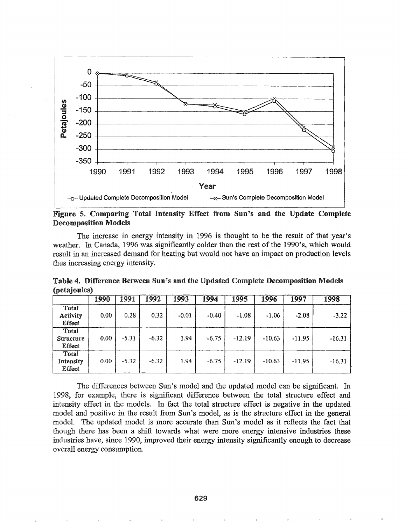

Figure 5. Comparing Total Intensity Effect from Sun's and the Update Complete Decomposition Models

The increase in energy intensity in 1996 is thought to be the result of that year's weather. In Canada, 1996 was significantly colder than the rest of the 1990's, which would result in an increased demand for heating but would not have an impact on production levels thus increasing energy intensity.

|                                            | 1990 | 1991    | 1992    | 1993    | 1994    | 1995     | 1996     | 1997     | 1998     |
|--------------------------------------------|------|---------|---------|---------|---------|----------|----------|----------|----------|
| Total<br><b>Activity</b><br><b>Effect</b>  | 0.00 | 0.28    | 0.32    | $-0.01$ | $-0.40$ | $-1.08$  | $-1.06$  | $-2.08$  | $-3.22$  |
| Total<br><b>Structure</b><br><b>Effect</b> | 0.00 | $-5.31$ | $-6.32$ | 1.94    | $-6.75$ | $-12.19$ | $-10.63$ | $-11.95$ | $-16.31$ |
| Total<br>Intensity<br>Effect               | 0.00 | $-5.32$ | $-6.32$ | 1.94    | $-6.75$ | $-12.19$ | $-10.63$ | $-11.95$ | $-16.31$ |

Table 4. Difference Between Sun's and the Updated Complete Decomposition Models (petajoules)

The differences between Sun's model and the updated model can be significant. In 1998, for example, there is significant difference between the total structure effect and intensity effect in the models. In fact the total structure effect is negative in the updated model and positive in the result from Sun's model, as is the structure effect in the general modeL The updated model is more accurate than Sun's model as it reflects the fact that though there has been a shift towards what were more energy intensive industries these industries have, since 1990, improved their energy intensity significantly enough to decrease overall energy consumption.